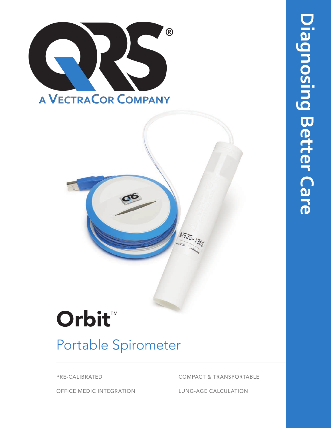

# #7525-1365

# Orbit<sup>™</sup>

# Portable Spirometer

PRE-CALIBRATED COMPACT & TRANSPORTABLE

OFFICE MEDIC INTEGRATION LUNG-AGE CALCULATION